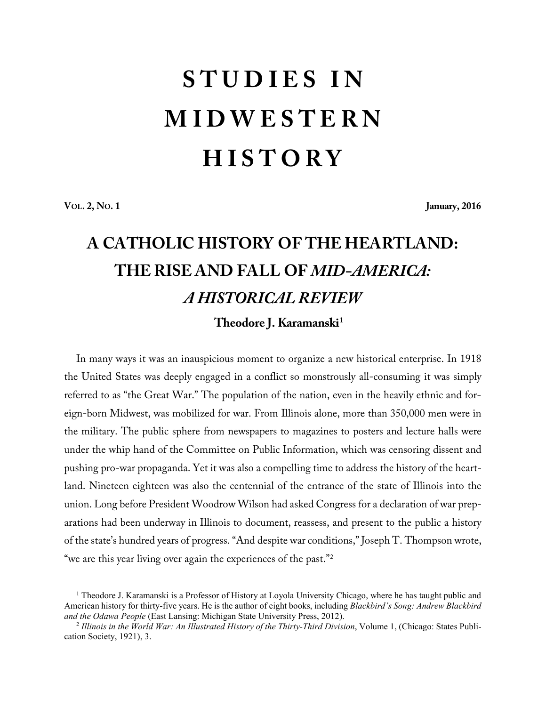## **S T U D I E S I N M I D W E S T E R N H I S T O R Y**

**VOL. 2, NO. 1 January, 2016**

## **A CATHOLIC HISTORY OF THE HEARTLAND: THE RISE AND FALL OF** *MID-AMERICA: A HISTORICAL REVIEW* **Theodore J. Karamanski<sup>1</sup>**

In many ways it was an inauspicious moment to organize a new historical enterprise. In 1918 the United States was deeply engaged in a conflict so monstrously all-consuming it was simply referred to as "the Great War." The population of the nation, even in the heavily ethnic and foreign-born Midwest, was mobilized for war. From Illinois alone, more than 350,000 men were in the military. The public sphere from newspapers to magazines to posters and lecture halls were under the whip hand of the Committee on Public Information, which was censoring dissent and pushing pro-war propaganda. Yet it was also a compelling time to address the history of the heartland. Nineteen eighteen was also the centennial of the entrance of the state of Illinois into the union. Long before President Woodrow Wilson had asked Congress for a declaration of war preparations had been underway in Illinois to document, reassess, and present to the public a history of the state's hundred years of progress. "And despite war conditions," Joseph T. Thompson wrote, "we are this year living over again the experiences of the past."2

<sup>1</sup> Theodore J. Karamanski is a Professor of History at Loyola University Chicago, where he has taught public and American history for thirty-five years. He is the author of eight books, including *Blackbird's Song: Andrew Blackbird and the Odawa People* (East Lansing: Michigan State University Press, 2012).

<sup>2</sup> *Illinois in the World War: An Illustrated History of the Thirty-Third Division*, Volume 1, (Chicago: States Publication Society, 1921), 3.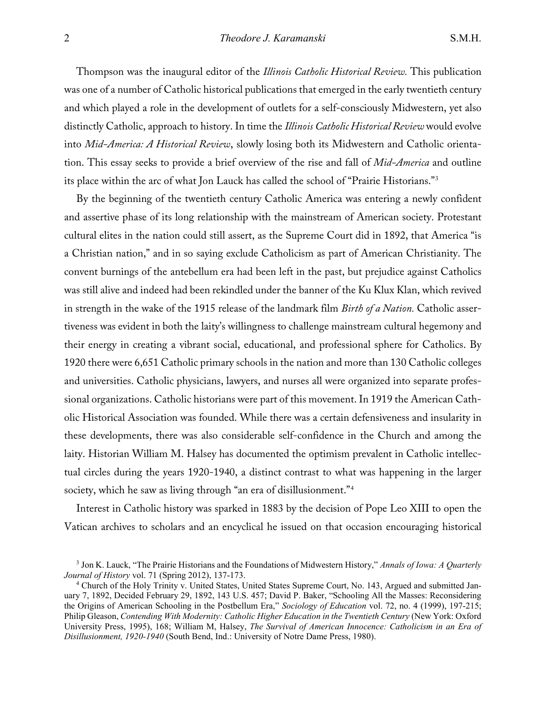Thompson was the inaugural editor of the *Illinois Catholic Historical Review.* This publication was one of a number of Catholic historical publications that emerged in the early twentieth century and which played a role in the development of outlets for a self-consciously Midwestern, yet also distinctly Catholic, approach to history. In time the *Illinois Catholic Historical Review* would evolve into *Mid-America: A Historical Review*, slowly losing both its Midwestern and Catholic orientation. This essay seeks to provide a brief overview of the rise and fall of *Mid-America* and outline its place within the arc of what Jon Lauck has called the school of "Prairie Historians."3

By the beginning of the twentieth century Catholic America was entering a newly confident and assertive phase of its long relationship with the mainstream of American society. Protestant cultural elites in the nation could still assert, as the Supreme Court did in 1892, that America "is a Christian nation," and in so saying exclude Catholicism as part of American Christianity. The convent burnings of the antebellum era had been left in the past, but prejudice against Catholics was still alive and indeed had been rekindled under the banner of the Ku Klux Klan, which revived in strength in the wake of the 1915 release of the landmark film *Birth of a Nation.* Catholic assertiveness was evident in both the laity's willingness to challenge mainstream cultural hegemony and their energy in creating a vibrant social, educational, and professional sphere for Catholics. By 1920 there were 6,651 Catholic primary schools in the nation and more than 130 Catholic colleges and universities. Catholic physicians, lawyers, and nurses all were organized into separate professional organizations. Catholic historians were part of this movement. In 1919 the American Catholic Historical Association was founded. While there was a certain defensiveness and insularity in these developments, there was also considerable self-confidence in the Church and among the laity. Historian William M. Halsey has documented the optimism prevalent in Catholic intellectual circles during the years 1920-1940, a distinct contrast to what was happening in the larger society, which he saw as living through "an era of disillusionment."<sup>4</sup>

Interest in Catholic history was sparked in 1883 by the decision of Pope Leo XIII to open the Vatican archives to scholars and an encyclical he issued on that occasion encouraging historical

<sup>3</sup> Jon K. Lauck, "The Prairie Historians and the Foundations of Midwestern History," *Annals of Iowa: A Quarterly Journal of History* vol. 71 (Spring 2012), 137-173.

<sup>4</sup> Church of the Holy Trinity v. United States, United States Supreme Court, No. 143, Argued and submitted January 7, 1892, Decided February 29, 1892, 143 U.S. 457; David P. Baker, "Schooling All the Masses: Reconsidering the Origins of American Schooling in the Postbellum Era," *Sociology of Education* vol. 72, no. 4 (1999), 197-215; Philip Gleason, *Contending With Modernity: Catholic Higher Education in the Twentieth Century* (New York: Oxford University Press, 1995), 168; William M, Halsey, *The Survival of American Innocence: Catholicism in an Era of Disillusionment, 1920-1940* (South Bend, Ind.: University of Notre Dame Press, 1980).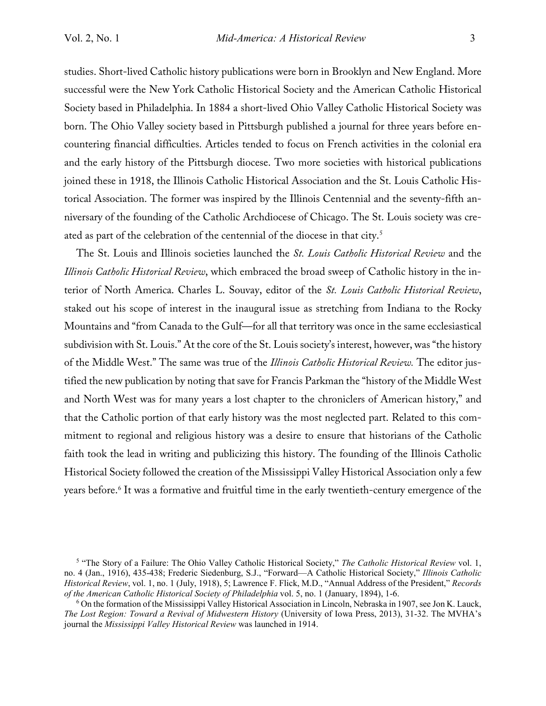studies. Short-lived Catholic history publications were born in Brooklyn and New England. More successful were the New York Catholic Historical Society and the American Catholic Historical Society based in Philadelphia. In 1884 a short-lived Ohio Valley Catholic Historical Society was born. The Ohio Valley society based in Pittsburgh published a journal for three years before encountering financial difficulties. Articles tended to focus on French activities in the colonial era and the early history of the Pittsburgh diocese. Two more societies with historical publications joined these in 1918, the Illinois Catholic Historical Association and the St. Louis Catholic Historical Association. The former was inspired by the Illinois Centennial and the seventy-fifth anniversary of the founding of the Catholic Archdiocese of Chicago. The St. Louis society was created as part of the celebration of the centennial of the diocese in that city.5

The St. Louis and Illinois societies launched the *St. Louis Catholic Historical Review* and the *Illinois Catholic Historical Review*, which embraced the broad sweep of Catholic history in the interior of North America. Charles L. Souvay, editor of the *St. Louis Catholic Historical Review*, staked out his scope of interest in the inaugural issue as stretching from Indiana to the Rocky Mountains and "from Canada to the Gulf—for all that territory was once in the same ecclesiastical subdivision with St. Louis." At the core of the St. Louis society's interest, however, was "the history of the Middle West." The same was true of the *Illinois Catholic Historical Review.* The editor justified the new publication by noting that save for Francis Parkman the "history of the Middle West and North West was for many years a lost chapter to the chroniclers of American history," and that the Catholic portion of that early history was the most neglected part. Related to this commitment to regional and religious history was a desire to ensure that historians of the Catholic faith took the lead in writing and publicizing this history. The founding of the Illinois Catholic Historical Society followed the creation of the Mississippi Valley Historical Association only a few years before.<sup>6</sup> It was a formative and fruitful time in the early twentieth-century emergence of the

<sup>5</sup> "The Story of a Failure: The Ohio Valley Catholic Historical Society," *The Catholic Historical Review* vol. 1, no. 4 (Jan., 1916), 435-438; Frederic Siedenburg, S.J., "Forward—A Catholic Historical Society," *Illinois Catholic Historical Review*, vol. 1, no. 1 (July, 1918), 5; Lawrence F. Flick, M.D., "Annual Address of the President," *Records of the American Catholic Historical Society of Philadelphia* vol. 5, no. 1 (January, 1894), 1-6.<br><sup>6</sup> On the formation of the Mississippi Valley Historical Association in Lincoln, Nebraska in 1907, see Jon K. Lauck,

*The Lost Region: Toward a Revival of Midwestern History* (University of Iowa Press, 2013), 31-32. The MVHA's journal the *Mississippi Valley Historical Review* was launched in 1914.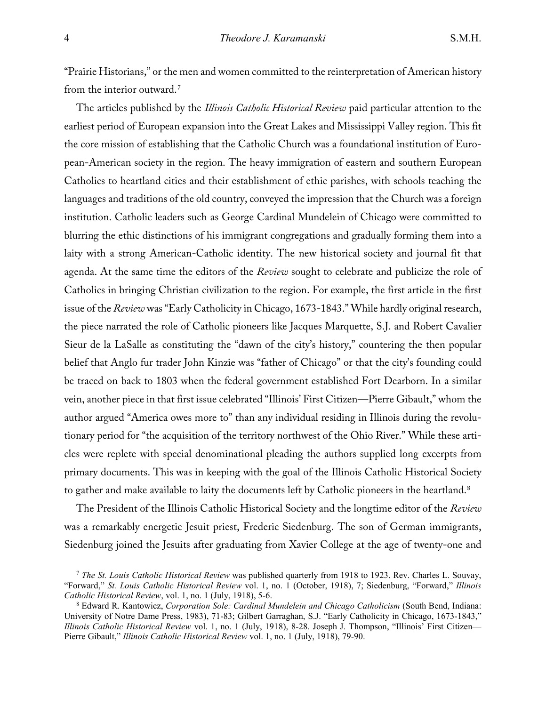"Prairie Historians," or the men and women committed to the reinterpretation of American history from the interior outward.<sup>7</sup>

The articles published by the *Illinois Catholic Historical Review* paid particular attention to the earliest period of European expansion into the Great Lakes and Mississippi Valley region. This fit the core mission of establishing that the Catholic Church was a foundational institution of European-American society in the region. The heavy immigration of eastern and southern European Catholics to heartland cities and their establishment of ethic parishes, with schools teaching the languages and traditions of the old country, conveyed the impression that the Church was a foreign institution. Catholic leaders such as George Cardinal Mundelein of Chicago were committed to blurring the ethic distinctions of his immigrant congregations and gradually forming them into a laity with a strong American-Catholic identity. The new historical society and journal fit that agenda. At the same time the editors of the *Review* sought to celebrate and publicize the role of Catholics in bringing Christian civilization to the region. For example, the first article in the first issue of the *Review* was "Early Catholicity in Chicago, 1673-1843." While hardly original research, the piece narrated the role of Catholic pioneers like Jacques Marquette, S.J. and Robert Cavalier Sieur de la LaSalle as constituting the "dawn of the city's history," countering the then popular belief that Anglo fur trader John Kinzie was "father of Chicago" or that the city's founding could be traced on back to 1803 when the federal government established Fort Dearborn. In a similar vein, another piece in that first issue celebrated "Illinois' First Citizen—Pierre Gibault," whom the author argued "America owes more to" than any individual residing in Illinois during the revolutionary period for "the acquisition of the territory northwest of the Ohio River." While these articles were replete with special denominational pleading the authors supplied long excerpts from primary documents. This was in keeping with the goal of the Illinois Catholic Historical Society to gather and make available to laity the documents left by Catholic pioneers in the heartland.<sup>8</sup>

The President of the Illinois Catholic Historical Society and the longtime editor of the *Review* was a remarkably energetic Jesuit priest, Frederic Siedenburg. The son of German immigrants, Siedenburg joined the Jesuits after graduating from Xavier College at the age of twenty-one and

<sup>7</sup> *The St. Louis Catholic Historical Review* was published quarterly from 1918 to 1923. Rev. Charles L. Souvay, "Forward," *St. Louis Catholic Historical Review* vol. 1, no. 1 (October, 1918), 7; Siedenburg, "Forward," *Illinois Catholic Historical Review*, vol. 1, no. 1 (July, 1918), 5-6.

<sup>8</sup> Edward R. Kantowicz, *Corporation Sole: Cardinal Mundelein and Chicago Catholicism* (South Bend, Indiana: University of Notre Dame Press, 1983), 71-83; Gilbert Garraghan, S.J. "Early Catholicity in Chicago, 1673-1843," *Illinois Catholic Historical Review* vol. 1, no. 1 (July, 1918), 8-28. Joseph J. Thompson, "Illinois' First Citizen— Pierre Gibault," *Illinois Catholic Historical Review* vol. 1, no. 1 (July, 1918), 79-90.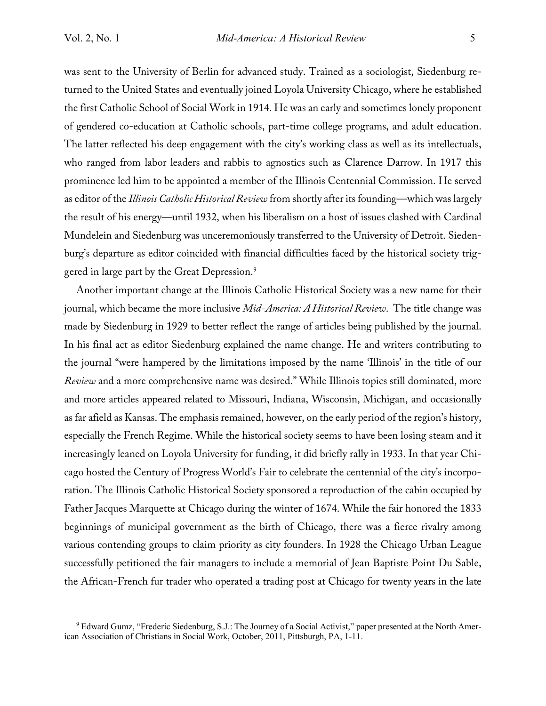was sent to the University of Berlin for advanced study. Trained as a sociologist, Siedenburg returned to the United States and eventually joined Loyola University Chicago, where he established the first Catholic School of Social Work in 1914. He was an early and sometimes lonely proponent of gendered co-education at Catholic schools, part-time college programs, and adult education. The latter reflected his deep engagement with the city's working class as well as its intellectuals, who ranged from labor leaders and rabbis to agnostics such as Clarence Darrow. In 1917 this prominence led him to be appointed a member of the Illinois Centennial Commission. He served as editor of the *Illinois Catholic Historical Review* from shortly after its founding—which was largely the result of his energy—until 1932, when his liberalism on a host of issues clashed with Cardinal Mundelein and Siedenburg was unceremoniously transferred to the University of Detroit. Siedenburg's departure as editor coincided with financial difficulties faced by the historical society triggered in large part by the Great Depression.<sup>9</sup>

Another important change at the Illinois Catholic Historical Society was a new name for their journal, which became the more inclusive *Mid-America: A Historical Review*. The title change was made by Siedenburg in 1929 to better reflect the range of articles being published by the journal. In his final act as editor Siedenburg explained the name change. He and writers contributing to the journal "were hampered by the limitations imposed by the name 'Illinois' in the title of our *Review* and a more comprehensive name was desired." While Illinois topics still dominated, more and more articles appeared related to Missouri, Indiana, Wisconsin, Michigan, and occasionally as far afield as Kansas. The emphasis remained, however, on the early period of the region's history, especially the French Regime. While the historical society seems to have been losing steam and it increasingly leaned on Loyola University for funding, it did briefly rally in 1933. In that year Chicago hosted the Century of Progress World's Fair to celebrate the centennial of the city's incorporation. The Illinois Catholic Historical Society sponsored a reproduction of the cabin occupied by Father Jacques Marquette at Chicago during the winter of 1674. While the fair honored the 1833 beginnings of municipal government as the birth of Chicago, there was a fierce rivalry among various contending groups to claim priority as city founders. In 1928 the Chicago Urban League successfully petitioned the fair managers to include a memorial of Jean Baptiste Point Du Sable, the African-French fur trader who operated a trading post at Chicago for twenty years in the late

<sup>9</sup> Edward Gumz, "Frederic Siedenburg, S.J.: The Journey of a Social Activist," paper presented at the North American Association of Christians in Social Work, October, 2011, Pittsburgh, PA, 1-11.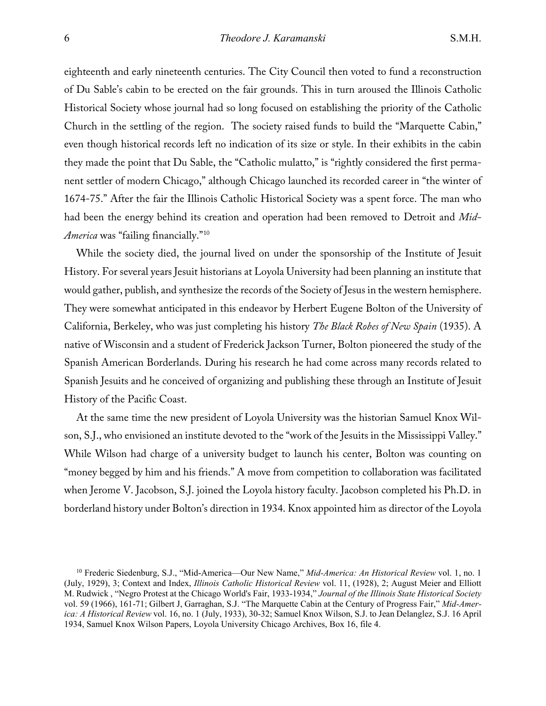eighteenth and early nineteenth centuries. The City Council then voted to fund a reconstruction of Du Sable's cabin to be erected on the fair grounds. This in turn aroused the Illinois Catholic Historical Society whose journal had so long focused on establishing the priority of the Catholic Church in the settling of the region. The society raised funds to build the "Marquette Cabin," even though historical records left no indication of its size or style. In their exhibits in the cabin they made the point that Du Sable, the "Catholic mulatto," is "rightly considered the first permanent settler of modern Chicago," although Chicago launched its recorded career in "the winter of 1674-75." After the fair the Illinois Catholic Historical Society was a spent force. The man who had been the energy behind its creation and operation had been removed to Detroit and *Mid-America* was "failing financially."10

While the society died, the journal lived on under the sponsorship of the Institute of Jesuit History. For several years Jesuit historians at Loyola University had been planning an institute that would gather, publish, and synthesize the records of the Society of Jesus in the western hemisphere. They were somewhat anticipated in this endeavor by Herbert Eugene Bolton of the University of California, Berkeley, who was just completing his history *The Black Robes of New Spain* (1935). A native of Wisconsin and a student of Frederick Jackson Turner, Bolton pioneered the study of the Spanish American Borderlands. During his research he had come across many records related to Spanish Jesuits and he conceived of organizing and publishing these through an Institute of Jesuit History of the Pacific Coast.

At the same time the new president of Loyola University was the historian Samuel Knox Wilson, S.J., who envisioned an institute devoted to the "work of the Jesuits in the Mississippi Valley." While Wilson had charge of a university budget to launch his center, Bolton was counting on "money begged by him and his friends." A move from competition to collaboration was facilitated when Jerome V. Jacobson, S.J. joined the Loyola history faculty. Jacobson completed his Ph.D. in borderland history under Bolton's direction in 1934. Knox appointed him as director of the Loyola

<sup>10</sup> Frederic Siedenburg, S.J., "Mid-America—Our New Name," *Mid-America: An Historical Review* vol. 1, no. 1 (July, 1929), 3; Context and Index, *Illinois Catholic Historical Review* vol. 11, (1928), 2; August Meier and Elliott M. Rudwick , "Negro Protest at the Chicago World's Fair, 1933-1934," *Journal of the Illinois State Historical Society* vol. 59 (1966), 161-71; Gilbert J, Garraghan, S.J. "The Marquette Cabin at the Century of Progress Fair," *Mid-America: A Historical Review* vol. 16, no. 1 (July, 1933), 30-32; Samuel Knox Wilson, S.J. to Jean Delanglez, S.J. 16 April 1934, Samuel Knox Wilson Papers, Loyola University Chicago Archives, Box 16, file 4.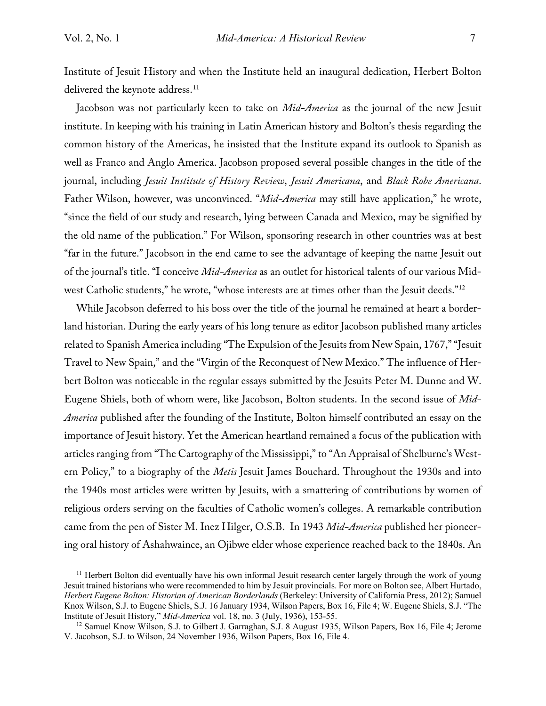Institute of Jesuit History and when the Institute held an inaugural dedication, Herbert Bolton delivered the keynote address.<sup>11</sup>

Jacobson was not particularly keen to take on *Mid-America* as the journal of the new Jesuit institute. In keeping with his training in Latin American history and Bolton's thesis regarding the common history of the Americas, he insisted that the Institute expand its outlook to Spanish as well as Franco and Anglo America. Jacobson proposed several possible changes in the title of the journal, including *Jesuit Institute of History Review*, *Jesuit Americana*, and *Black Robe Americana*. Father Wilson, however, was unconvinced. "*Mid-America* may still have application," he wrote, "since the field of our study and research, lying between Canada and Mexico, may be signified by the old name of the publication." For Wilson, sponsoring research in other countries was at best "far in the future." Jacobson in the end came to see the advantage of keeping the name Jesuit out of the journal's title. "I conceive *Mid-America* as an outlet for historical talents of our various Midwest Catholic students," he wrote, "whose interests are at times other than the Jesuit deeds."12

While Jacobson deferred to his boss over the title of the journal he remained at heart a borderland historian. During the early years of his long tenure as editor Jacobson published many articles related to Spanish America including "The Expulsion of the Jesuits from New Spain, 1767," "Jesuit Travel to New Spain," and the "Virgin of the Reconquest of New Mexico." The influence of Herbert Bolton was noticeable in the regular essays submitted by the Jesuits Peter M. Dunne and W. Eugene Shiels, both of whom were, like Jacobson, Bolton students. In the second issue of *Mid-America* published after the founding of the Institute, Bolton himself contributed an essay on the importance of Jesuit history. Yet the American heartland remained a focus of the publication with articles ranging from "The Cartography of the Mississippi," to "An Appraisal of Shelburne's Western Policy," to a biography of the *Metis* Jesuit James Bouchard. Throughout the 1930s and into the 1940s most articles were written by Jesuits, with a smattering of contributions by women of religious orders serving on the faculties of Catholic women's colleges. A remarkable contribution came from the pen of Sister M. Inez Hilger, O.S.B. In 1943 *Mid-America* published her pioneering oral history of Ashahwaince, an Ojibwe elder whose experience reached back to the 1840s. An

<sup>&</sup>lt;sup>11</sup> Herbert Bolton did eventually have his own informal Jesuit research center largely through the work of young Jesuit trained historians who were recommended to him by Jesuit provincials. For more on Bolton see, Albert Hurtado, *Herbert Eugene Bolton: Historian of American Borderlands* (Berkeley: University of California Press, 2012); Samuel Knox Wilson, S.J. to Eugene Shiels, S.J. 16 January 1934, Wilson Papers, Box 16, File 4; W. Eugene Shiels, S.J. "The Institute of Jesuit History," *Mid-America* vol. 18, no. 3 (July, 1936), 153-55.

<sup>&</sup>lt;sup>12</sup> Samuel Know Wilson, S.J. to Gilbert J. Garraghan, S.J. 8 August 1935, Wilson Papers, Box 16, File 4; Jerome V. Jacobson, S.J. to Wilson, 24 November 1936, Wilson Papers, Box 16, File 4.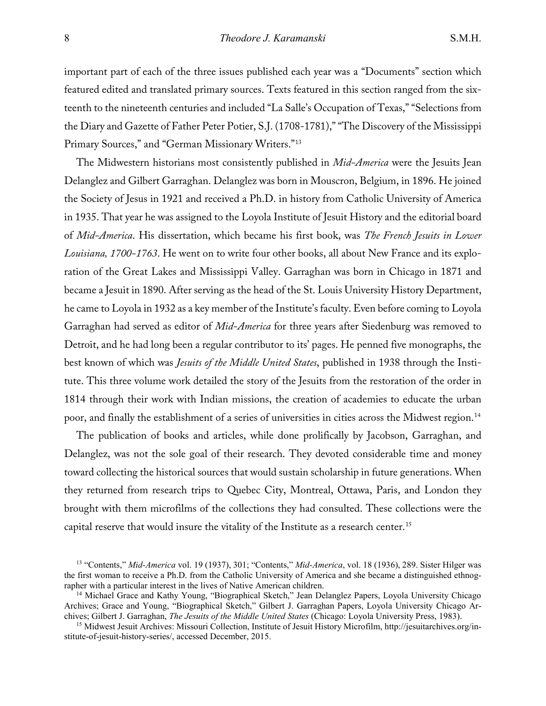important part of each of the three issues published each year was a "Documents" section which featured edited and translated primary sources. Texts featured in this section ranged from the sixteenth to the nineteenth centuries and included "La Salle's Occupation of Texas," "Selections from the Diary and Gazette of Father Peter Potier, S.J. (1708-1781)," "The Discovery of the Mississippi Primary Sources," and "German Missionary Writers."13

The Midwestern historians most consistently published in *Mid-America* were the Jesuits Jean Delanglez and Gilbert Garraghan. Delanglez was born in Mouscron, Belgium, in 1896. He joined the Society of Jesus in 1921 and received a Ph.D. in history from Catholic University of America in 1935. That year he was assigned to the Loyola Institute of Jesuit History and the editorial board of *Mid-America*. His dissertation, which became his first book, was *The French Jesuits in Lower Louisiana, 1700-1763*. He went on to write four other books, all about New France and its exploration of the Great Lakes and Mississippi Valley. Garraghan was born in Chicago in 1871 and became a Jesuit in 1890. After serving as the head of the St. Louis University History Department, he came to Loyola in 1932 as a key member of the Institute's faculty. Even before coming to Loyola Garraghan had served as editor of *Mid-America* for three years after Siedenburg was removed to Detroit, and he had long been a regular contributor to its' pages. He penned five monographs, the best known of which was *Jesuits of the Middle United States*, published in 1938 through the Institute. This three volume work detailed the story of the Jesuits from the restoration of the order in 1814 through their work with Indian missions, the creation of academies to educate the urban poor, and finally the establishment of a series of universities in cities across the Midwest region.14

The publication of books and articles, while done prolifically by Jacobson, Garraghan, and Delanglez, was not the sole goal of their research. They devoted considerable time and money toward collecting the historical sources that would sustain scholarship in future generations. When they returned from research trips to Quebec City, Montreal, Ottawa, Paris, and London they brought with them microfilms of the collections they had consulted. These collections were the capital reserve that would insure the vitality of the Institute as a research center.<sup>15</sup>

<sup>13</sup> "Contents," *Mid-America* vol. 19 (1937), 301; "Contents," *Mid-America*, vol. 18 (1936), 289. Sister Hilger was the first woman to receive a Ph.D. from the Catholic University of America and she became a distinguished ethnographer with a particular interest in the lives of Native American children. 14 Michael Grace and Kathy Young, "Biographical Sketch," Jean Delanglez Papers, Loyola University Chicago

Archives; Grace and Young, "Biographical Sketch," Gilbert J. Garraghan Papers, Loyola University Chicago Archives; Gilbert J. Garraghan, *The Jesuits of the Middle United States* (Chicago: Loyola University Press, 1983).

<sup>15</sup> Midwest Jesuit Archives: Missouri Collection, Institute of Jesuit History Microfilm, http://jesuitarchives.org/institute-of-jesuit-history-series/, accessed December, 2015.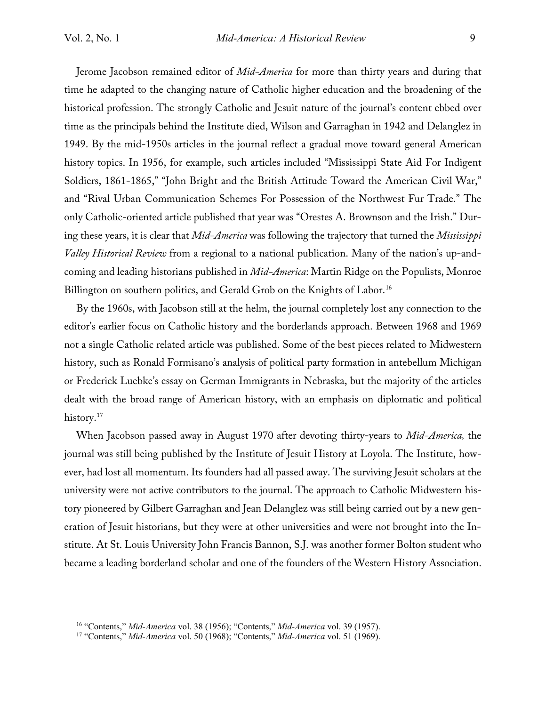Jerome Jacobson remained editor of *Mid-America* for more than thirty years and during that time he adapted to the changing nature of Catholic higher education and the broadening of the historical profession. The strongly Catholic and Jesuit nature of the journal's content ebbed over time as the principals behind the Institute died, Wilson and Garraghan in 1942 and Delanglez in 1949. By the mid-1950s articles in the journal reflect a gradual move toward general American history topics. In 1956, for example, such articles included "Mississippi State Aid For Indigent Soldiers, 1861-1865," "John Bright and the British Attitude Toward the American Civil War," and "Rival Urban Communication Schemes For Possession of the Northwest Fur Trade." The only Catholic-oriented article published that year was "Orestes A. Brownson and the Irish." During these years, it is clear that *Mid-America* was following the trajectory that turned the *Mississippi Valley Historical Review* from a regional to a national publication. Many of the nation's up-andcoming and leading historians published in *Mid-America*: Martin Ridge on the Populists, Monroe Billington on southern politics, and Gerald Grob on the Knights of Labor.<sup>16</sup>

By the 1960s, with Jacobson still at the helm, the journal completely lost any connection to the editor's earlier focus on Catholic history and the borderlands approach. Between 1968 and 1969 not a single Catholic related article was published. Some of the best pieces related to Midwestern history, such as Ronald Formisano's analysis of political party formation in antebellum Michigan or Frederick Luebke's essay on German Immigrants in Nebraska, but the majority of the articles dealt with the broad range of American history, with an emphasis on diplomatic and political history.<sup>17</sup>

When Jacobson passed away in August 1970 after devoting thirty-years to *Mid-America,* the journal was still being published by the Institute of Jesuit History at Loyola. The Institute, however, had lost all momentum. Its founders had all passed away. The surviving Jesuit scholars at the university were not active contributors to the journal. The approach to Catholic Midwestern history pioneered by Gilbert Garraghan and Jean Delanglez was still being carried out by a new generation of Jesuit historians, but they were at other universities and were not brought into the Institute. At St. Louis University John Francis Bannon, S.J. was another former Bolton student who became a leading borderland scholar and one of the founders of the Western History Association.

<sup>16</sup> "Contents," *Mid-America* vol. 38 (1956); "Contents," *Mid-America* vol. 39 (1957).

<sup>17</sup> "Contents," *Mid-America* vol. 50 (1968); "Contents," *Mid-America* vol. 51 (1969).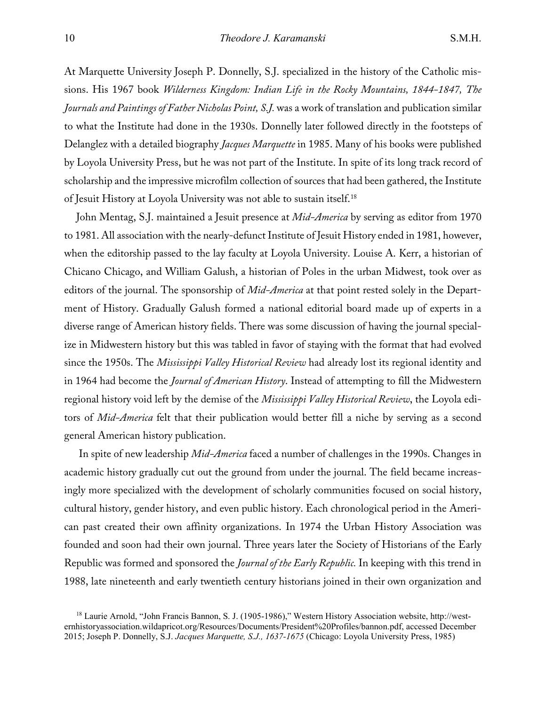At Marquette University Joseph P. Donnelly, S.J. specialized in the history of the Catholic missions. His 1967 book *Wilderness Kingdom: Indian Life in the Rocky Mountains, 1844-1847, The Journals and Paintings of Father Nicholas Point, S.J.* was a work of translation and publication similar to what the Institute had done in the 1930s. Donnelly later followed directly in the footsteps of Delanglez with a detailed biography *Jacques Marquette* in 1985. Many of his books were published by Loyola University Press, but he was not part of the Institute. In spite of its long track record of scholarship and the impressive microfilm collection of sources that had been gathered, the Institute of Jesuit History at Loyola University was not able to sustain itself.18

John Mentag, S.J. maintained a Jesuit presence at *Mid-America* by serving as editor from 1970 to 1981. All association with the nearly-defunct Institute of Jesuit History ended in 1981, however, when the editorship passed to the lay faculty at Loyola University. Louise A. Kerr, a historian of Chicano Chicago, and William Galush, a historian of Poles in the urban Midwest, took over as editors of the journal. The sponsorship of *Mid-America* at that point rested solely in the Department of History. Gradually Galush formed a national editorial board made up of experts in a diverse range of American history fields. There was some discussion of having the journal specialize in Midwestern history but this was tabled in favor of staying with the format that had evolved since the 1950s. The *Mississippi Valley Historical Review* had already lost its regional identity and in 1964 had become the *Journal of American History*. Instead of attempting to fill the Midwestern regional history void left by the demise of the *Mississippi Valley Historical Review*, the Loyola editors of *Mid-America* felt that their publication would better fill a niche by serving as a second general American history publication.

In spite of new leadership *Mid-America* faced a number of challenges in the 1990s. Changes in academic history gradually cut out the ground from under the journal. The field became increasingly more specialized with the development of scholarly communities focused on social history, cultural history, gender history, and even public history. Each chronological period in the American past created their own affinity organizations. In 1974 the Urban History Association was founded and soon had their own journal. Three years later the Society of Historians of the Early Republic was formed and sponsored the *Journal of the Early Republic.* In keeping with this trend in 1988, late nineteenth and early twentieth century historians joined in their own organization and

<sup>18</sup> Laurie Arnold, "John Francis Bannon, S. J. (1905-1986)," Western History Association website, http://westernhistoryassociation.wildapricot.org/Resources/Documents/President%20Profiles/bannon.pdf, accessed December 2015; Joseph P. Donnelly, S.J. *Jacques Marquette, S.J., 1637-1675* (Chicago: Loyola University Press, 1985)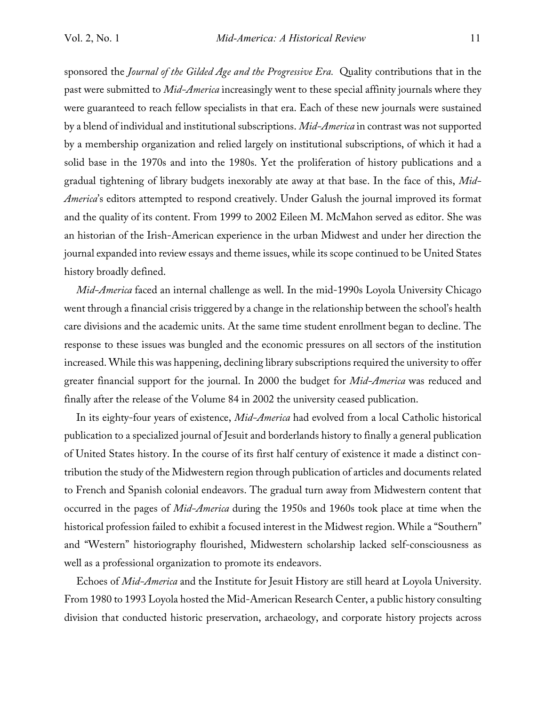sponsored the *Journal of the Gilded Age and the Progressive Era.* Quality contributions that in the past were submitted to *Mid-America* increasingly went to these special affinity journals where they were guaranteed to reach fellow specialists in that era. Each of these new journals were sustained by a blend of individual and institutional subscriptions. *Mid-America* in contrast was not supported by a membership organization and relied largely on institutional subscriptions, of which it had a solid base in the 1970s and into the 1980s. Yet the proliferation of history publications and a gradual tightening of library budgets inexorably ate away at that base. In the face of this, *Mid-America*'s editors attempted to respond creatively. Under Galush the journal improved its format and the quality of its content. From 1999 to 2002 Eileen M. McMahon served as editor. She was an historian of the Irish-American experience in the urban Midwest and under her direction the journal expanded into review essays and theme issues, while its scope continued to be United States history broadly defined.

*Mid-America* faced an internal challenge as well. In the mid-1990s Loyola University Chicago went through a financial crisis triggered by a change in the relationship between the school's health care divisions and the academic units. At the same time student enrollment began to decline. The response to these issues was bungled and the economic pressures on all sectors of the institution increased. While this was happening, declining library subscriptions required the university to offer greater financial support for the journal. In 2000 the budget for *Mid-America* was reduced and finally after the release of the Volume 84 in 2002 the university ceased publication.

In its eighty-four years of existence, *Mid-America* had evolved from a local Catholic historical publication to a specialized journal of Jesuit and borderlands history to finally a general publication of United States history. In the course of its first half century of existence it made a distinct contribution the study of the Midwestern region through publication of articles and documents related to French and Spanish colonial endeavors. The gradual turn away from Midwestern content that occurred in the pages of *Mid-America* during the 1950s and 1960s took place at time when the historical profession failed to exhibit a focused interest in the Midwest region. While a "Southern" and "Western" historiography flourished, Midwestern scholarship lacked self-consciousness as well as a professional organization to promote its endeavors.

Echoes of *Mid-America* and the Institute for Jesuit History are still heard at Loyola University. From 1980 to 1993 Loyola hosted the Mid-American Research Center, a public history consulting division that conducted historic preservation, archaeology, and corporate history projects across